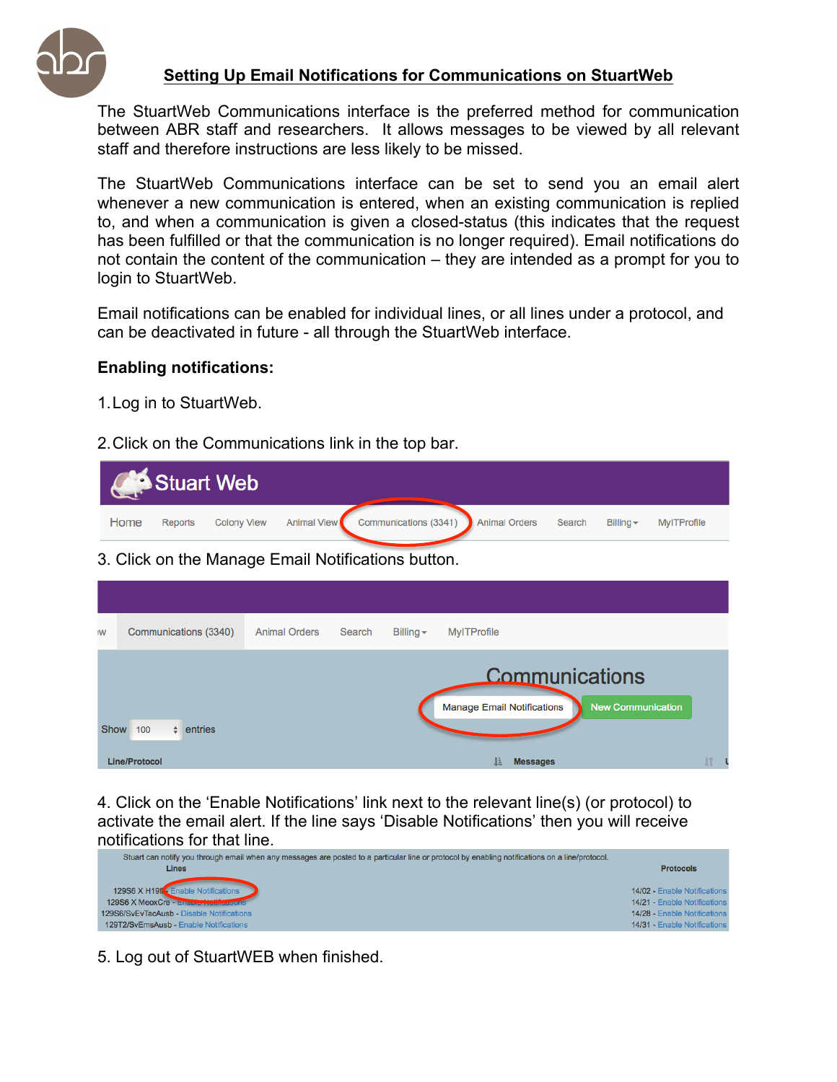

## **Setting Up Email Notifications for Communications on StuartWeb**

The StuartWeb Communications interface is the preferred method for communication between ABR staff and researchers. It allows messages to be viewed by all relevant staff and therefore instructions are less likely to be missed.

The StuartWeb Communications interface can be set to send you an email alert whenever a new communication is entered, when an existing communication is replied to, and when a communication is given a closed-status (this indicates that the request has been fulfilled or that the communication is no longer required). Email notifications do not contain the content of the communication – they are intended as a prompt for you to login to StuartWeb.

Email notifications can be enabled for individual lines, or all lines under a protocol, and can be deactivated in future - all through the StuartWeb interface.

## **Enabling notifications:**

- 1.Log in to StuartWeb.
- 2.Click on the Communications link in the top bar.

|      |         | <b>Construct Web</b> |                                                             |        |                |             |
|------|---------|----------------------|-------------------------------------------------------------|--------|----------------|-------------|
| Home | Reports |                      | Colony View Animal View Communications (3341) Animal Orders | Search | Billing $\sim$ | MylTProfile |
|      |         |                      |                                                             |        |                |             |

3. Click on the Manage Email Notifications button.

| <b>W:</b>   | Communications (3340) | <b>Animal Orders</b> | Search | Billing $\sim$ | <b>MylTProfile</b>                                                              |    |  |
|-------------|-----------------------|----------------------|--------|----------------|---------------------------------------------------------------------------------|----|--|
| <b>Show</b> | $\div$ entries<br>100 |                      |        |                | Communications<br><b>New Communication</b><br><b>Manage Email Notifications</b> |    |  |
|             | Line/Protocol         |                      |        |                | Ŀ<br><b>Messages</b>                                                            | 11 |  |

4. Click on the 'Enable Notifications' link next to the relevant line(s) (or protocol) to activate the email alert. If the line says 'Disable Notifications' then you will receive notifications for that line.<br>Stuart can notify you through email when any messages are posted to a particular line or protocol by enabling notifications on a line/protocol.



5. Log out of StuartWEB when finished.